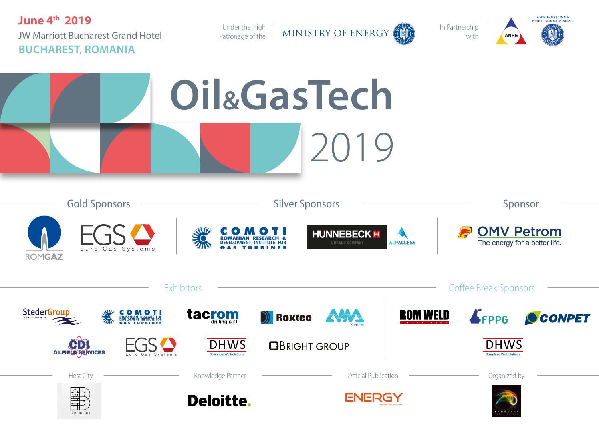**June 4th 2019** JW Marriott Bucharest Grand Hotel **BUCHAREST, ROMANIA**

Patronage of the

Under the High | MINISTRY OF ENERGY

In Partnership with



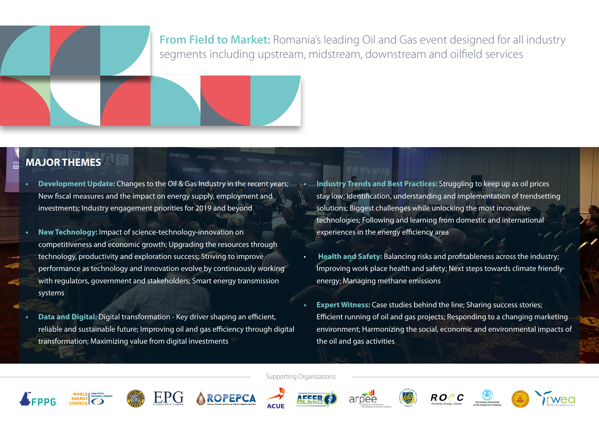# **From Field to Market:** Romania's leading Oil and Gas event designed for all industry segments including upstream, midstream, downstream and oilfield services

# **MAJOR THEMES**

**AROPEPCA** 

- **• Development Update:** Changes to the Oil & Gas Industry in the recent years; New fiscal measures and the impact on energy supply, employment and investments; Industry engagement priorities for 2019 and beyond
- **• New Technology:** Impact of science-technology-innovation on competitiveness and economic growth; Upgrading the resources through technology, productivity and exploration success; Striving to improve performance as technology and innovation evolve by continuously working with regulators, government and stakeholders; Smart energy transmission systems
- **• Data and Digital:** Digital transformation Key driver shaping an efficient, reliable and sustainable future; Improving oil and gas efficiency through digital transformation; Maximizing value from digital investments
- **• Industry Trends and Best Practices:** Struggling to keep up as oil prices stay low; Identification, understanding and implementation of trendsetting solutions; Biggest challenges while unlocking the most innovative technologies; Following and learning from domestic and international experiences in the energy efficiency area
- **Health and Safety:** Balancing risks and profitableness across the industry; Improving work place health and safety; Next steps towards climate friendlyenergy; Managing methane emissions
- **• Expert Witness:** Case studies behind the line; Sharing success stories; Efficient running of oil and gas projects; Responding to a changing marketing environment; Harmonizing the social, economic and environmental impacts of the oil and gas activities

Supporting Organizations









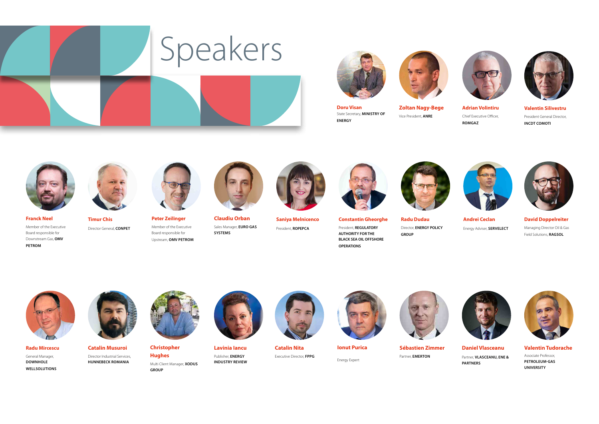







**Zoltan Nagy-Bege** Vice President, **ANRE**





**Adrian Volintiru** Chief Executive Officer, **ROMGAZ**

**Valentin Silivestru** President General Director, **INCDT COMOTI**



**Franck Neel**  Member of the Executive Board responsible for Downstream Gas, **OMV** 

**PETROM**



**Timur Chis**  Director General, **CONPET**

Upstream, **OMV PETROM**



**Peter Zeilinger**  Member of the Executive Board responsible for



**Claudiu Orban**  Sales Manager, **EURO GAS SYSTEMS**



**Saniya Melnicenco** 

President, **ROPEPCA**



**Constantin Gheorghe**  President, **REGULATORY AUTHORITY FOR THE BLACK SEA OIL OFFSHORE OPERATIONS**



**Radu Dudau**  Director, **ENERGY POLICY GROUP**





**Andrei Ceclan**  Energy Adviser, **SERVELECT** **David Doppelreiter**  Managing Director Oil & Gas Field Solutions, **RAGSOL**



**Radu Mircescu**  General Manager, **DOWNHOLE WELLSOLUTIONS**



**Catalin Musuroi** Director Industrial Services, **HUNNEBECK ROMANIA**



**Christopher Hughes**  Multi Client Manager, **XODUS GROUP**



**Lavinia Iancu** Publisher, **ENERGY INDUSTRY REVIEW**



**Catalin Nita**  Executive Director, **FPPG**



**Ionut Purica** 





**Sébastien Zimmer**  Partner, **EMERTON**



**PARTNERS**



Associate Professor, **PETROLEUM-GAS UNIVERSITY**

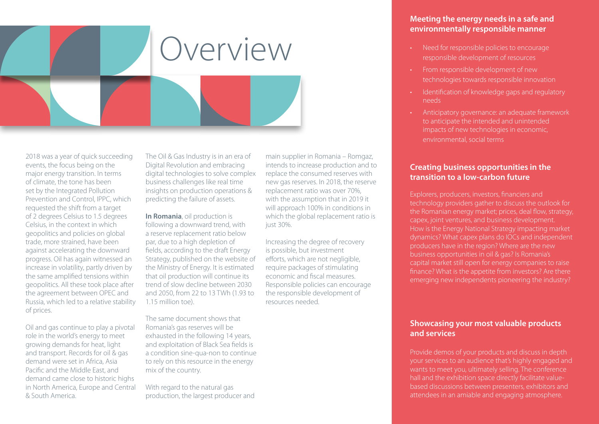

2018 was a year of quick succeeding events, the focus being on the major energy transition. In terms of climate, the tone has been set by the Integrated Pollution Prevention and Control, IPPC, which requested the shift from a target of 2 degrees Celsius to 1.5 degrees Celsius, in the context in which geopolitics and policies on global trade, more strained, have been against accelerating the downward progress. Oil has again witnessed an increase in volatility, partly driven by the same amplified tensions within geopolitics. All these took place after the agreement between OPEC and Russia, which led to a relative stability of prices.

Oil and gas continue to play a pivotal role in the world's energy to meet growing demands for heat, light and transport. Records for oil & gas demand were set in Africa, Asia Pacific and the Middle East, and demand came close to historic highs in North America, Europe and Central & South America.

The Oil & Gas Industry is in an era of Digital Revolution and embracing digital technologies to solve complex business challenges like real time insights on production operations & predicting the failure of assets.

**In Romania**, oil production is following a downward trend, with a reserve replacement ratio below par, due to a high depletion of fields, according to the draft Energy Strategy, published on the website of the Ministry of Energy. It is estimated that oil production will continue its trend of slow decline between 2030 and 2050, from 22 to 13 TWh (1.93 to 1.15 million toe).

The same document shows that Romania's gas reserves will be exhausted in the following 14 years, and exploitation of Black Sea fields is a condition sine-qua-non to continue to rely on this resource in the energy mix of the country.

With regard to the natural gas production, the largest producer and main supplier in Romania – Romgaz, intends to increase production and to replace the consumed reserves with new gas reserves. In 2018, the reserve replacement ratio was over 70%, with the assumption that in 2019 it will approach 100% in conditions in which the global replacement ratio is just 30%.

Increasing the degree of recovery is possible, but investment efforts, which are not negligible, require packages of stimulating economic and fiscal measures. Responsible policies can encourage the responsible development of resources needed.

# **Meeting the energy needs in a safe and environmentally responsible manner**

- Need for responsible policies to encourage responsible development of resources
- From responsible development of new technologies towards responsible innovation
- Identification of knowledge gaps and regulatory needs
- Anticipatory governance: an adequate framework to anticipate the intended and unintended impacts of new technologies in economic, environmental, social terms

# **Creating business opportunities in the transition to a low-carbon future**

Explorers, producers, investors, financiers and technology providers gather to discuss the outlook for the Romanian energy market; prices, deal flow, strategy, capex, joint ventures, and business development. How is the Energy National Strategy impacting market dynamics? What capex plans do IOCs and independent producers have in the region? Where are the new business opportunities in oil & gas? Is Romania's capital market still open for energy companies to raise finance? What is the appetite from investors? Are there emerging new independents pioneering the industry?

# **Showcasing your most valuable products and services**

Provide demos of your products and discuss in depth your services to an audience that's highly engaged and wants to meet you, ultimately selling. The conference hall and the exhibition space directly facilitate valuebased discussions between presenters, exhibitors and attendees in an amiable and engaging atmosphere.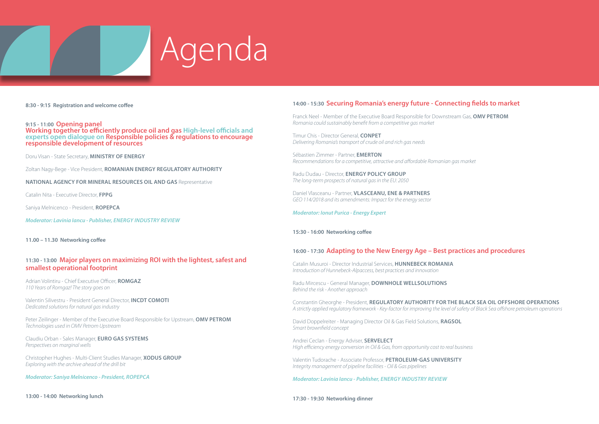

**8:30 - 9:15 Registration and welcome coffee** 

9:15 - 11:00 Opening panel<br>Working together to efficiently produce oil and gas High-level officials and<br>experts open dialogue on Responsible policies & regulations to encourage<br>responsible development of resources

Doru Visan - State Secretary, **MINISTRY OF ENERGY**

Zoltan Nagy-Bege - Vice President, **ROMANIAN ENERGY REGULATORY AUTHORITY**

**NATIONAL AGENCY FOR MINERAL RESOURCES OIL AND GAS** Representative

Catalin Nita - Executive Director, **FPPG**

Saniya Melnicenco - President, **ROPEPCA**

*Moderator: Lavinia Iancu - Publisher, ENERGY INDUSTRY REVIEW*

**11.00 – 11.30 Networking coffee**

#### **11:30 - 13:00 Major players on maximizing ROI with the lightest, safest and smallest operational footprint**

Adrian Volintiru - Chief Executive Officer, **ROMGAZ** *110 Years of Romgaz! The story goes on*

Valentin Silivestru - President General Director, **INCDT COMOTI** *Dedicated solutions for natural gas industry*

Peter Zeilinger - Member of the Executive Board Responsible for Upstream, **OMV PETROM** *Technologies used in OMV Petrom Upstream*

Claudiu Orban - Sales Manager, **EURO GAS SYSTEMS** *Perspectives on marginal wells*

Christopher Hughes - Multi-Client Studies Manager, **XODUS GROUP** *Exploring with the archive ahead of the drill bit*

*Moderator: Saniya Melnicenco - President, ROPEPCA*

### **14:00 - 15:30 Securing Romania's energy future - Connecting fields to market**

Franck Neel - Member of the Executive Board Responsible for Downstream Gas, **OMV PETROM** *Romania could sustainably benefit from a competitive gas market* 

Timur Chis - Director General, **CONPET** *Delivering Romania's transport of crude oil and rich gas needs* 

Sébastien Zimmer - Partner, **EMERTON** *Recommendations for a competitive, attractive and affordable Romanian gas market* 

Radu Dudau - Director, **ENERGY POLICY GROUP** *The long-term prospects of natural gas in the EU: 2050* 

Daniel Vlasceanu - Partner, **VLASCEANU, ENE & PARTNERS** *GEO 114/2018 and its amendments: Impact for the energy sector*

*Moderator: Ionut Purica - Energy Expert*

#### **15:30 - 16:00 Networking coffee**

#### **16:00 - 17:30 Adapting to the New Energy Age – Best practices and procedures**

Catalin Musuroi - Director Industrial Services, **HUNNEBECK ROMANIA** *Introduction of Hunnebeck-Alpaccess, best practices and innovation*

Radu Mircescu - General Manager, **DOWNHOLE WELLSOLUTIONS** *Behind the risk - Another approach* 

Constantin Gheorghe - President, **REGULATORY AUTHORITY FOR THE BLACK SEA OIL OFFSHORE OPERATIONS** *A strictly applied regulatory framework - Key-factor for improving the level of safety of Black Sea offshore petroleum operations* 

David Doppelreiter - Managing Director Oil & Gas Field Solutions, **RAGSOL** *Smart brownfield concept* 

Andrei Ceclan - Energy Adviser, **SERVELECT**  *High efficiency energy conversion in Oil & Gas, from opportunity cost to real business* 

Valentin Tudorache - Associate Professor, **PETROLEUM-GAS UNIVERSITY** *Integrity management of pipeline facilities - Oil & Gas pipelines*

*Moderator: Lavinia Iancu - Publisher, ENERGY INDUSTRY REVIEW*

**17:30 - 19:30 Networking dinner**

**13:00 - 14:00 Networking lunch**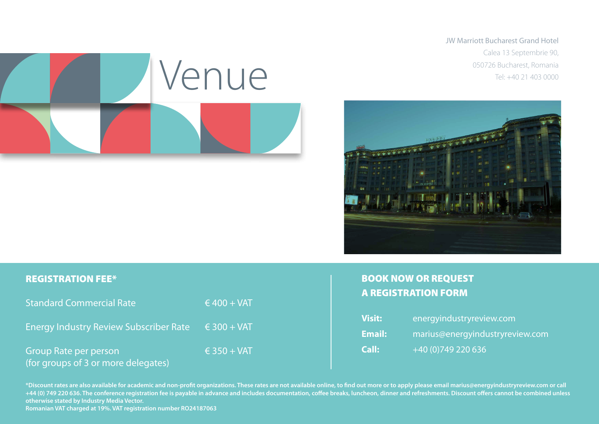JW Marriott Bucharest Grand Hotel Calea 13 Septembrie 90,





# REGISTRATION FEE\*

| <b>Standard Commercial Rate</b>                                     | $6400 + VAT$         |
|---------------------------------------------------------------------|----------------------|
| <b>Energy Industry Review Subscriber Rate</b>                       | $\epsilon$ 300 + VAT |
| <b>Group Rate per person</b><br>(for groups of 3 or more delegates) | $\epsilon$ 350 + VAT |

# BOOK NOW OR REQUEST A REGISTRATION FORM

| <b>Visit:</b> | energyindustryreview.com        |
|---------------|---------------------------------|
| <b>Email:</b> | marius@energyindustryreview.com |
| Call:         | $+40(0)749220636$               |

**\*Discount rates are also available for academic and non-profit organizations. These rates are not available online, to find out more or to apply please email marius@energyindustryreview.com or call +44 (0) 749 220 636. The conference registration fee is payable in advance and includes documentation, coffee breaks, luncheon, dinner and refreshments. Discount offers cannot be combined unless otherwise stated by Industry Media Vector.** 

**Romanian VAT charged at 19%. VAT registration number RO24187063**